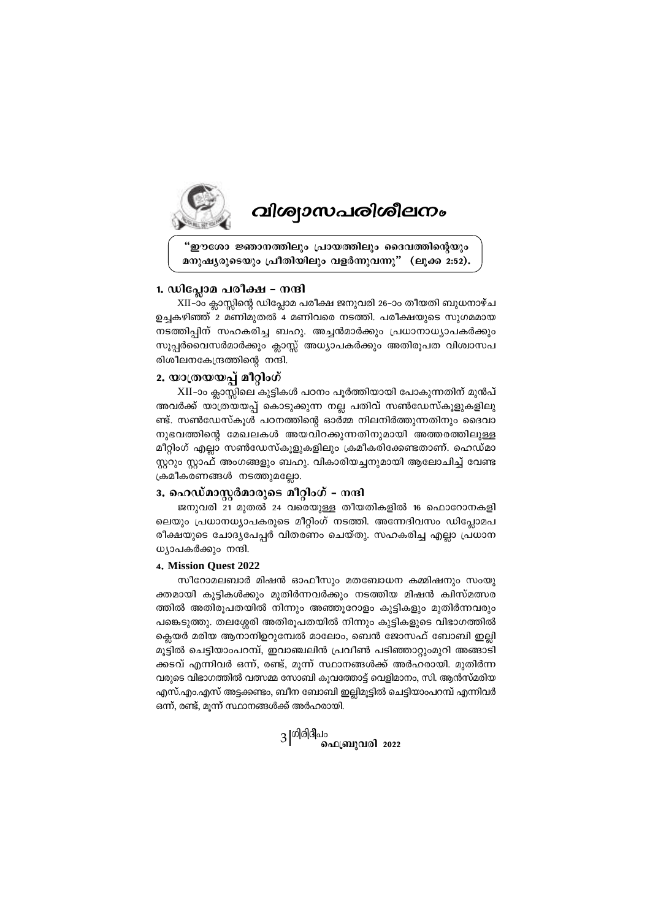

# *വിശ്വാസപരിശീലനം*

"ഈശോ ജ്ഞാനത്തിലും പ്രായത്തിലും ദൈവത്തിന്റെയും മനുഷ്യരുടെയും പ്രീതിയിലും വളർന്നുവന്നു" (ലുക്ക 2:52).

## 1. ഡിപ്ലോമ പരീക്ഷ – നന്ദി

XII-ാം ക്ലാസ്സിന്റെ ഡിപ്ലോമ പരീക്ഷ ജനുവരി 26-ാം തീയതി ബുധനാഴ്ച ഉച്ചകഴിഞ്ഞ് 2 മണിമുതൽ 4 മണിവരെ നടത്തി. പരീക്ഷയുടെ സുഗമമായ നടത്തിപ്പിന് സഹകരിച്ച ബഹു. അച്ചൻമാർക്കും പ്രധാനാധ്യാപകർക്കും സൂപ്പർവൈസർമാർക്കും ക്ലാസ്സ് അധ്യാപകർക്കും അതിരൂപത വിശ്വാസപ രിശീലനകേന്ദ്രത്തിന്റെ നന്ദി.

# 2. യാത്രയയപ്പ് മീറ്റിംഗ്

XII-ാം ക്ലാസ്സിലെ കുട്ടികൾ പഠനം പൂർത്തിയായി പോകുന്നതിന് മുൻപ് അവർക്ക് യാത്രയയപ്പ് കൊടുക്കുന്ന നല്ല പതിവ് സൺഡേസ്കൂളുകളിലു ണ്ട്. സൺഡേസ്കൂൾ പഠനത്തിന്റെ ഓർമ്മ നിലനിർത്തുന്നതിനും ദൈവാ നുഭവത്തിന്റെ മേഖലകൾ അയവിറക്കുന്നതിനുമായി അത്തരത്തിലുള്ള മീറ്റിംഗ് എല്ലാ സൺഡേസ്കൂളുകളിലും ക്രമീകരിക്കേണ്ടതാണ്. ഹെഡ്മാ സ്റ്ററും സ്റ്റാഫ് അംഗങ്ങളും ബഹു. വികാരിയച്ചനുമായി ആലോചിച്ച് വേണ്ട ക്രമീകരണങ്ങൾ നടത്തുമല്ലോ.

#### 3. ഹെഡ്മാസ്ലർമാരുടെ മീറ്റിംഗ് – നന്ദി

ജനുവരി 21 മുതൽ 24 വരെയുള്ള തീയതികളിൽ 16 ഫൊറോനകളി ലെയും പ്രധാനധ്യാപകരുടെ മീറ്റിംഗ് നടത്തി. അന്നേദിവസം ഡിപ്ലോമപ രീക്ഷയുടെ ചോദ്യപേപ്പർ വിതരണം ചെയ്തു. സഹകരിച്ച എല്ലാ പ്രധാന ധ്യാപകർക്കും നന്ദി.

#### 4. Mission Quest 2022

സീറോമലബാർ മിഷൻ ഓഫീസും മതബോധന കമ്മിഷനും സംയു ക്തമായി കൂട്ടികൾക്കും മുതിർന്നവർക്കും നടത്തിയ മിഷൻ ക്വിസ്മത്സര ത്തിൽ അതിരൂപതയിൽ നിന്നും അഞ്ഞൂറോളം കുട്ടികളും മുതിർന്നവരും പങ്കെടുത്തു. തലശ്ശേരി അതിരുപതയിൽ നിന്നും കൂട്ടികളുടെ വിഭാഗത്തിൽ ക്ലെയർ മരിയ ആനാനിഉറുമ്പേൽ മാലോം, ബെൻ ജോസഫ് ബോബി ഇല്ലി മൂട്ടിൽ ചെട്ടിയാംപറമ്പ്, ഇവാഞ്ചലിൻ പ്രവീൺ പടിഞ്ഞാറ്റുംമുറി അങ്ങാടി ക്കടവ് എന്നിവർ ഒന്ന്, രണ്ട്, മൂന്ന് സ്ഥാനങ്ങൾക്ക് അർഹരായി. മുതിർന്ന വരുടെ വിഭാഗത്തിൽ വത്സമ്മ സോബി കൂവത്തോട്ട് വെളിമാനം, സി. ആൻസ്മരിയ എസ്.എം.എസ് അട്ടക്കണ്ടം, ബീന ബോബി ഇല്ലിമുട്ടിൽ ചെട്ടിയാംപറമ്പ് എന്നിവർ ഒന്ന്, രണ്ട്, മുന്ന് സ്ഥാനങ്ങൾക്ക് അർഹരായി.

 $3\vert$ <sup>ഗിരിദീപം</sup> ഫെബ്രുവരി 2022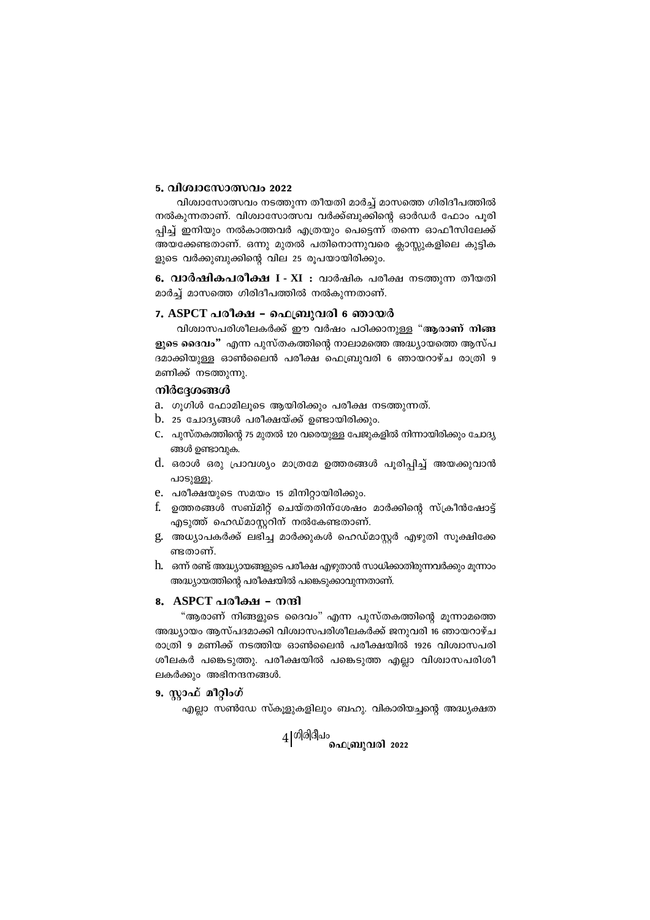## 5. വിശ്വാസോത്സവം 2022

വിശ്വാസോത്സവം നടത്തുന്ന തീയതി മാർച്ച് മാസത്തെ ഗിരിദീപത്തിൽ നൽകുന്നതാണ്. വിശ്വാസോത്സവ വർക്ക്ബുക്കിന്റെ ഓർഡർ ഫോം പൂരി പ്പിച്ച് ഇനിയും നൽകാത്തവർ എത്രയും പെട്ടെന്ന് തന്നെ ഓഫീസിലേക്ക് അയക്കേണ്ടതാണ്. ഒന്നു മുതൽ പതിനൊന്നുവരെ ക്ലാസ്സുകളിലെ കുട്ടിക ളുടെ വർക്കുബുക്കിന്റെ വില 25 രൂപയായിരിക്കും.

6. വാർഷികപരീക്ഷ I - XI : വാർഷിക പരീക്ഷ നടത്തുന്ന തീയതി മാർച്ച് മാസത്തെ ഗിരിദീപത്തിൽ നൽകുന്നതാണ്.

#### 7. ASPCT പരീക്ഷ - ഫെബ്രുവരി 6 ഞായർ

വിശ്വാസപരിശീലകർക്ക് ഈ വർഷം പഠിക്കാനുള്ള "ആരാണ് നിങ്ങ ളുടെ ദൈവം" എന്ന പുസ്തകത്തിന്റെ നാലാമത്തെ അദ്ധ്യായത്തെ ആസ്പ ദമാക്കിയുള്ള ഓൺലൈൻ പരീക്ഷ ഫെബ്രുവരി 6 ഞായറാഴ്ച രാത്രി 9 മണിക്ക് നടത്തുന്നു.

## നിർദ്ദേശങ്ങൾ

- a. ഗൂഗിൾ ഫോമിലൂടെ ആയിരിക്കും പരീക്ഷ നടത്തുന്നത്.
- $b$ . 25 ചോദ്യങ്ങൾ പരീക്ഷയ്ക്ക് ഉണ്ടായിരിക്കും.
- C. പുസ്തകത്തിന്റെ 75 മുതൽ 120 വരെയുള്ള പേജുകളിൽ നിന്നായിരിക്കും ചോദ്യ ങ്ങൾ ഉണ്ടാവുക.
- d. ഒരാൾ ഒരു പ്രാവശ്യം മാത്രമേ ഉത്തരങ്ങൾ പൂരിപ്പിച്ച് അയക്കുവാൻ പാടുള്ളു.
- e. പരീക്ഷയുടെ സമയം 15 മിനിറ്റായിരിക്കും.
- f. ഉത്തരങ്ങൾ സബ്മിറ്റ് ചെയ്തതിന്ശേഷം മാർക്കിന്റെ സ്ക്രീൻഷോട്ട് എടുത്ത് ഹെഡ്മാസ്റ്ററിന് നൽകേണ്ടതാണ്.
- g. അധ്യാപകർക്ക് ലഭിച്ച മാർക്കുകൾ ഹെഡ്മാസ്റ്റർ എഴുതി സൂക്ഷിക്കേ ണ്ടതാണ്.
- h. ഒന്ന് രണ്ട് അദ്ധ്യായങ്ങളുടെ പരീക്ഷ എഴുതാൻ സാധിക്കാതിരുന്നവർക്കും മൂന്നാം അദ്ധ്യായത്തിന്റെ പരീക്ഷയിൽ പങ്കെടുക്കാവുന്നതാണ്.

#### 8. ASPCT പരീക്ഷ - നന്ദി

"ആരാണ് നിങ്ങളുടെ ദൈവം" എന്ന പുസ്തകത്തിന്റെ മുന്നാമത്തെ അദ്ധ്യായം ആസ്പദമാക്കി വിശ്വാസപരിശീലകർക്ക് ജനുവരി 16 ഞായറാഴ്ച രാത്രി 9 മണിക്ക് നടത്തിയ ഓൺലൈൻ പരീക്ഷയിൽ 1926 വിശ്വാസപരി ശീലകർ പങ്കെടുത്തു. പരീക്ഷയിൽ പങ്കെടുത്ത എല്ലാ വിശ്വാസപരിശീ ലകർക്കും അഭിനന്ദനങ്ങൾ.

#### 9. സ്റ്റാഫ് മീറ്റിംഗ്

എല്ലാ സൺഡേ സ്കൂളുകളിലും ബഹു. വികാരിയച്ചന്റെ അദ്ധ്യക്ഷത

 $4|^{\text{of}}$ ിരിദീപം ഫെബ്രുവരി 2022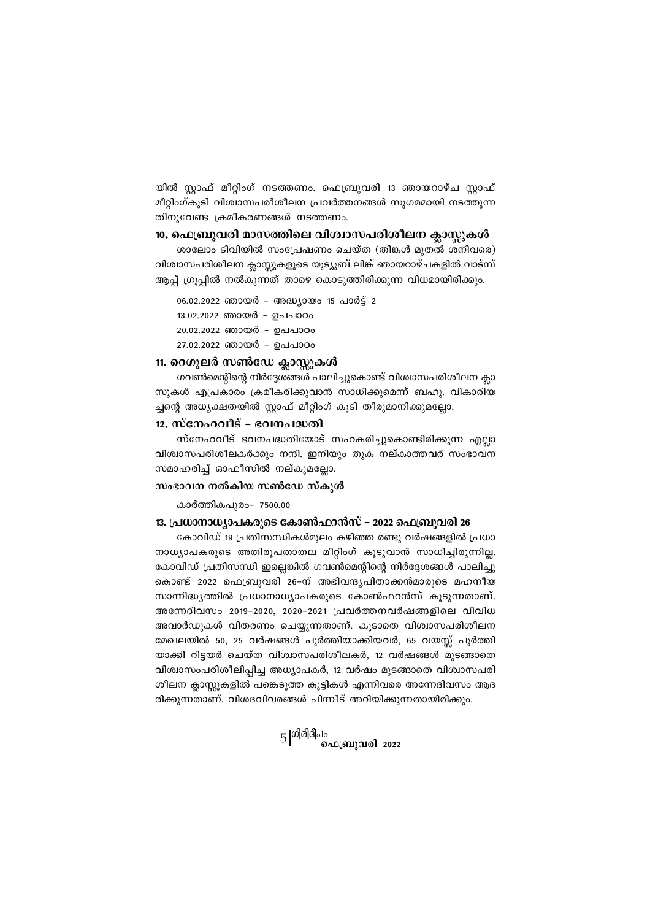യിൽ സ്റ്റാഫ് മീറ്റിംഗ് നടത്തണം. ഫെബ്രുവരി 13 ഞായറാഴ്ച സ്റ്റാഫ് മീറ്റിംഗ്കൂടി വിശ്വാസപരീശീലന പ്രവർത്തനങ്ങൾ സുഗമമായി നടത്തുന്ന തിനുവേണ്ട ക്രമീകരണങ്ങൾ നടത്തണം.

#### 10. ഫെബ്രുവരി മാസത്തിലെ വിശ്വാസപരിശീലന ക്ലാസ്റ്റകൾ

ശാലോം ടിവിയിൽ സംപ്രേഷണം ചെയ്ത (തിങ്കൾ മുതൽ ശനിവരെ) വിശ്വാസപരിശീലന ക്ലാസ്സുകളുടെ യൂട്യൂബ് ലിങ്ക് ഞായറാഴ്ചകളിൽ വാട്സ് ആപ്പ് ഗ്രൂപ്പിൽ നൽകുന്നത് താഴെ കൊടുത്തിരിക്കുന്ന വിധമായിരിക്കും.

06.02.2022 ഞായർ - അദ്ധ്യായം 15 പാർട്ട് 2 13.02.2022 ഞായർ - ഉപപാഠം 20.02.2022 ഞായർ - ഉപപാഠം 27.02.2022 ഞായർ - ഉപപാഠം

## 11. റെഗുലർ സൺഡേ ക്ലാസ്റ്റകൾ

ഗവൺമെന്റിന്റെ നിർദ്ദേശങ്ങൾ പാലിച്ചുകൊണ്ട് വിശ്വാസപരിശീലന ക്ലാ സുകൾ എപ്രകാരം ക്രമീകരിക്കുവാൻ സാധിക്കുമെന്ന് ബഹു. വികാരിയ ച്ചന്റെ അധ്യക്ഷതയിൽ സ്റ്റാഫ് മീറ്റിംഗ് കൂടി തീരുമാനിക്കുമല്ലോ.

# 12. സ്നേഹവീട് - ഭവനപദ്ധതി

സ്നേഹവീട് ഭവനപദ്ധതിയോട് സഹകരിച്ചുകൊണ്ടിരിക്കുന്ന എല്ലാ വിശ്വാസപരിശീലകർക്കും നന്ദി. ഇനിയും തുക നല്കാത്തവർ സംഭാവന സമാഹരിച്ച് ഓഫീസിൽ നല്കുമല്ലോ.

### $m$ ംഭാവന നൽകിയ സൺഡേ സ്കൂൾ

കാർത്തികപുരം- 7500.00

## 13. പ്രധാനാധ്യാപകരുടെ കോൺഫറൻസ് − 2022 ഫെബ്രുവരി 26

കോവിഡ് 19 പ്രതിസന്ധികൾമൂലം കഴിഞ്ഞ രണ്ടു വർഷങ്ങളിൽ പ്രധാ നാധ്യാപകരുടെ അതിരൂപതാതല മീറ്റിംഗ് കൂടുവാൻ സാധിച്ചിരുന്നില്ല. കോവിഡ് പ്രതിസന്ധി ഇല്ലെങ്കിൽ ഗവൺമെന്റിന്റെ നിർദ്ദേശങ്ങൾ പാലിച്ചു കൊണ്ട് 2022 ഫെബ്രുവരി 26-ന് അഭിവന്ദൃപിതാക്കൻമാരുടെ മഹനീയ സാന്നിദ്ധൃത്തിൽ പ്രധാനാധ്യാപകരുടെ കോൺഫറൻസ് കൂടുന്നതാണ്. അന്നേദിവസം 2019-2020, 2020-2021 പ്രവർത്തനവർഷങ്ങളിലെ വിവിധ അവാർഡുകൾ വിതരണം ചെയ്യുന്നതാണ്. കൂടാതെ വിശ്വാസപരിശീലന മേഖലയിൽ 50, 25 വർഷങ്ങൾ പൂർത്തിയാക്കിയവർ, 65 വയസ്സ് പൂർത്തി യാക്കി റിട്ടയർ ചെയ്ത വിശ്വാസപരിശീലകർ, 12 വർഷങ്ങൾ മുടങ്ങാതെ വിശ്വാസംപരിശീലിപ്പിച്ച അധ്യാപകർ, 12 വർഷം മുടങ്ങാതെ വിശ്വാസപരി ശീലന ക്ലാസ്സുകളിൽ പങ്കെടുത്ത കുട്ടികൾ എന്നിവരെ അന്നേദിവസം ആദ രിക്കുന്നതാണ്. വിശദവിവരങ്ങൾ പിന്നീട് അറിയിക്കുന്നതായിരിക്കും.

5 |<sup>ഗിരിദീപം</sup><br>ചെബ്രുവരി 2022